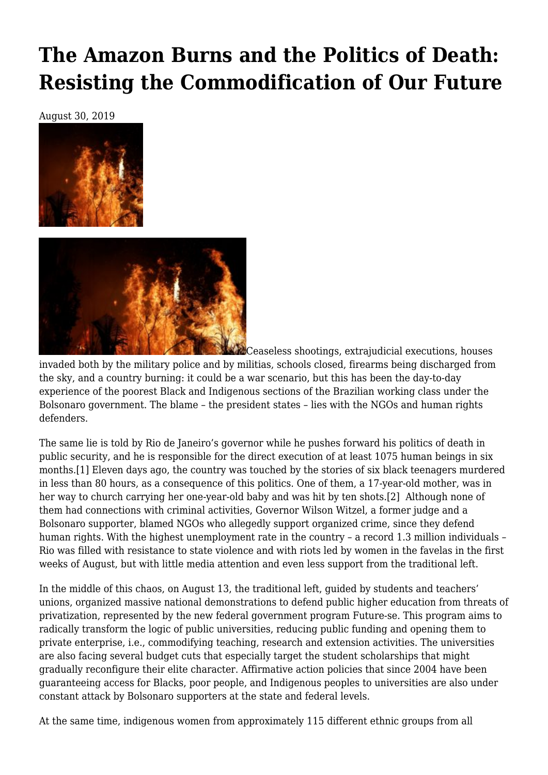# **[The Amazon Burns and the Politics of Death:](https://newpol.org/the-amazon-burns-and-the-politics-of-death-resisting-the-commodification-of-our-future/) [Resisting the Commodification of Our Future](https://newpol.org/the-amazon-burns-and-the-politics-of-death-resisting-the-commodification-of-our-future/)**

August 30, 2019





**ALC** Ceaseless shootings, extrajudicial executions, houses

invaded both by the military police and by militias, schools closed, firearms being discharged from the sky, and a country burning: it could be a war scenario, but this has been the day-to-day experience of the poorest Black and Indigenous sections of the Brazilian working class under the Bolsonaro government. The blame – the president states – lies with the NGOs and human rights defenders.

<span id="page-0-1"></span><span id="page-0-0"></span>The same lie is told by Rio de Janeiro's governor while he pushes forward his politics of death in public security, and he is responsible for the direct execution of at least 1075 human beings in six months.[\[1\]](#page-4-0) Eleven days ago, the country was touched by the stories of six black teenagers murdered in less than 80 hours, as a consequence of this politics. One of them, a 17-year-old mother, was in her way to church carrying her one-year-old baby and was hit by ten shots[.\[2\]](#page-4-1) Although none of them had connections with criminal activities, Governor Wilson Witzel, a former judge and a Bolsonaro supporter, blamed NGOs who allegedly support organized crime, since they defend human rights. With the highest unemployment rate in the country – a record 1.3 million individuals – Rio was filled with resistance to state violence and with riots led by women in the favelas in the first weeks of August, but with little media attention and even less support from the traditional left.

In the middle of this chaos, on August 13, the traditional left, guided by students and teachers' unions, organized massive national demonstrations to defend public higher education from threats of privatization, represented by the new federal government program Future-se. This program aims to radically transform the logic of public universities, reducing public funding and opening them to private enterprise, i.e., commodifying teaching, research and extension activities. The universities are also facing several budget cuts that especially target the student scholarships that might gradually reconfigure their elite character. Affirmative action policies that since 2004 have been guaranteeing access for Blacks, poor people, and Indigenous peoples to universities are also under constant attack by Bolsonaro supporters at the state and federal levels.

At the same time, indigenous women from approximately 115 different ethnic groups from all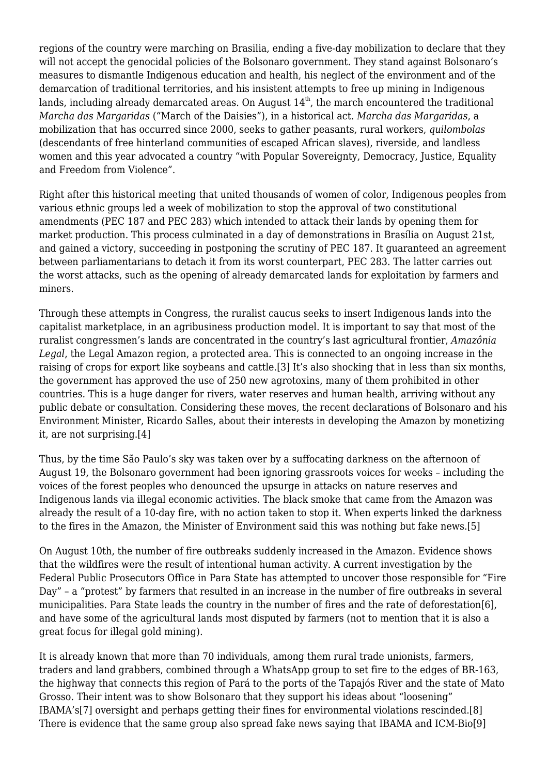regions of the country were marching on Brasilia, ending a five-day mobilization to declare that they will not accept the genocidal policies of the Bolsonaro government. They stand against Bolsonaro's measures to dismantle Indigenous education and health, his neglect of the environment and of the demarcation of traditional territories, and his insistent attempts to free up mining in Indigenous lands, including already demarcated areas. On August  $14<sup>th</sup>$ , the march encountered the traditional *Marcha das Margaridas* ("March of the Daisies"), in a historical act. *Marcha das Margaridas*, a mobilization that has occurred since 2000, seeks to gather peasants, rural workers, *quilombolas* (descendants of free hinterland communities of escaped African slaves), riverside, and landless women and this year advocated a country "with Popular Sovereignty, Democracy, Justice, Equality and Freedom from Violence".

Right after this historical meeting that united thousands of women of color, Indigenous peoples from various ethnic groups led a week of mobilization to stop the approval of two constitutional amendments (PEC 187 and PEC 283) which intended to attack their lands by opening them for market production. This process culminated in a day of demonstrations in Brasília on August 21st, and gained a victory, succeeding in postponing the scrutiny of PEC 187. It guaranteed an agreement between parliamentarians to detach it from its worst counterpart, PEC 283. The latter carries out the worst attacks, such as the opening of already demarcated lands for exploitation by farmers and miners.

<span id="page-1-0"></span>Through these attempts in Congress, the ruralist caucus seeks to insert Indigenous lands into the capitalist marketplace, in an agribusiness production model. It is important to say that most of the ruralist congressmen's lands are concentrated in the country's last agricultural frontier, *Amazônia Legal*, the Legal Amazon region, a protected area. This is connected to an ongoing increase in the raising of crops for export like soybeans and cattle.[\[3\]](#page-4-2) It's also shocking that in less than six months, the government has approved the use of 250 new agrotoxins, many of them prohibited in other countries. This is a huge danger for rivers, water reserves and human health, arriving without any public debate or consultation. Considering these moves, the recent declarations of Bolsonaro and his Environment Minister, Ricardo Salles, about their interests in developing the Amazon by monetizing it, are not surprising.[\[4\]](#page-4-3)

<span id="page-1-1"></span>Thus, by the time São Paulo's sky was taken over by a suffocating darkness on the afternoon of August 19, the Bolsonaro government had been ignoring grassroots voices for weeks – including the voices of the forest peoples who denounced the upsurge in attacks on nature reserves and Indigenous lands via illegal economic activities. The black smoke that came from the Amazon was already the result of a 10-day fire, with no action taken to stop it. When experts linked the darkness to the fires in the Amazon, the Minister of Environment said this was nothing but fake news.[\[5\]](#page-4-4)

<span id="page-1-2"></span>On August 10th, the number of fire outbreaks suddenly increased in the Amazon. Evidence shows that the wildfires were the result of intentional human activity. A current investigation by the Federal Public Prosecutors Office in Para State has attempted to uncover those responsible for "Fire Day" – a "protest" by farmers that resulted in an increase in the number of fire outbreaks in several municipalities. Para State leads the country in the number of fires and the rate of deforestation[\[6\],](#page-4-5) and have some of the agricultural lands most disputed by farmers (not to mention that it is also a great focus for illegal gold mining).

<span id="page-1-6"></span><span id="page-1-5"></span><span id="page-1-4"></span><span id="page-1-3"></span>It is already known that more than 70 individuals, among them rural trade unionists, farmers, traders and land grabbers, combined through a WhatsApp group to set fire to the edges of BR-163, the highway that connects this region of Pará to the ports of the Tapajós River and the state of Mato Grosso. Their intent was to show Bolsonaro that they support his ideas about "loosening" IBAMA'[s\[7\]](#page-4-6) oversight and perhaps getting their fines for environmental violations rescinded[.\[8\]](#page-4-7) There is evidence that the same group also spread fake news saying that IBAMA and ICM-Bi[o\[9\]](#page-4-8)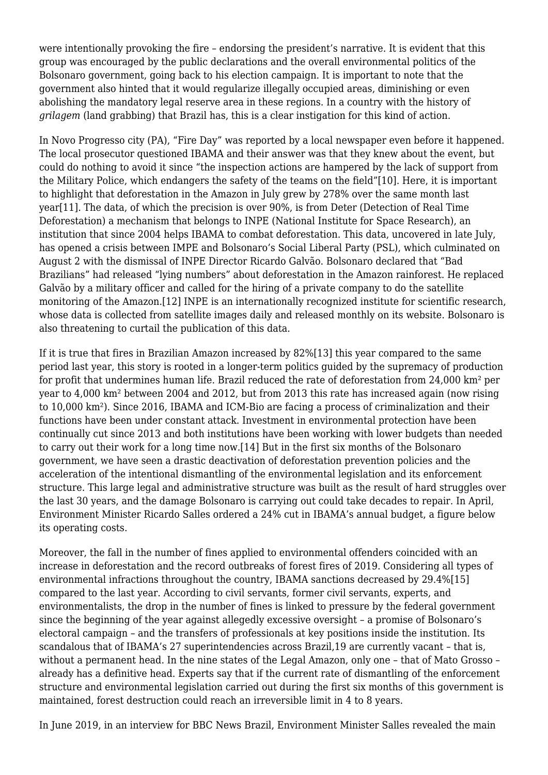were intentionally provoking the fire – endorsing the president's narrative. It is evident that this group was encouraged by the public declarations and the overall environmental politics of the Bolsonaro government, going back to his election campaign. It is important to note that the government also hinted that it would regularize illegally occupied areas, diminishing or even abolishing the mandatory legal reserve area in these regions. In a country with the history of *grilagem* (land grabbing) that Brazil has, this is a clear instigation for this kind of action.

<span id="page-2-1"></span><span id="page-2-0"></span>In Novo Progresso city (PA), "Fire Day" was reported by a local newspaper even before it happened. The local prosecutor questioned IBAMA and their answer was that they knew about the event, but could do nothing to avoid it since "the inspection actions are hampered by the lack of support from the Military Police, which endangers the safety of the teams on the field"[\[10\].](#page-5-0) Here, it is important to highlight that deforestation in the Amazon in July grew by 278% over the same month last year[\[11\].](#page-5-1) The data, of which the precision is over 90%, is from Deter (Detection of Real Time Deforestation) a mechanism that belongs to INPE (National Institute for Space Research), an institution that since 2004 helps IBAMA to combat deforestation. This data, uncovered in late July, has opened a crisis between IMPE and Bolsonaro's Social Liberal Party (PSL), which culminated on August 2 with the dismissal of INPE Director Ricardo Galvão. Bolsonaro declared that "Bad Brazilians" had released "lying numbers" about deforestation in the Amazon rainforest. He replaced Galvão by a military officer and called for the hiring of a private company to do the satellite monitoring of the Amazon[.\[12\]](#page-5-2) INPE is an internationally recognized institute for scientific research, whose data is collected from satellite images daily and released monthly on its website. Bolsonaro is also threatening to curtail the publication of this data.

<span id="page-2-4"></span><span id="page-2-3"></span><span id="page-2-2"></span>If it is true that fires in Brazilian Amazon increased by 82%[\[13\]](#page-5-3) this year compared to the same period last year, this story is rooted in a longer-term politics guided by the supremacy of production for profit that undermines human life. Brazil reduced the rate of deforestation from 24,000 km² per year to 4,000 km² between 2004 and 2012, but from 2013 this rate has increased again (now rising to 10,000 km²). Since 2016, IBAMA and ICM-Bio are facing a process of criminalization and their functions have been under constant attack. Investment in environmental protection have been continually cut since 2013 and both institutions have been working with lower budgets than needed to carry out their work for a long time now[.\[14\]](#page-5-4) But in the first six months of the Bolsonaro government, we have seen a drastic deactivation of deforestation prevention policies and the acceleration of the intentional dismantling of the environmental legislation and its enforcement structure. This large legal and administrative structure was built as the result of hard struggles over the last 30 years, and the damage Bolsonaro is carrying out could take decades to repair. In April, Environment Minister Ricardo Salles ordered a 24% cut in IBAMA's annual budget, a figure below its operating costs.

<span id="page-2-5"></span>Moreover, the fall in the number of fines applied to environmental offenders coincided with an increase in deforestation and the record outbreaks of forest fires of 2019. Considering all types of environmental infractions throughout the country, IBAMA sanctions decreased by 29.4%[\[15\]](#page-5-5) compared to the last year. According to civil servants, former civil servants, experts, and environmentalists, the drop in the number of fines is linked to pressure by the federal government since the beginning of the year against allegedly excessive oversight – a promise of Bolsonaro's electoral campaign – and the transfers of professionals at key positions inside the institution. Its scandalous that of IBAMA's 27 superintendencies across Brazil,19 are currently vacant – that is, without a permanent head. In the nine states of the Legal Amazon, only one – that of Mato Grosso – already has a definitive head. Experts say that if the current rate of dismantling of the enforcement structure and environmental legislation carried out during the first six months of this government is maintained, forest destruction could reach an irreversible limit in 4 to 8 years.

In June 2019, in an interview for BBC News Brazil, Environment Minister Salles revealed the main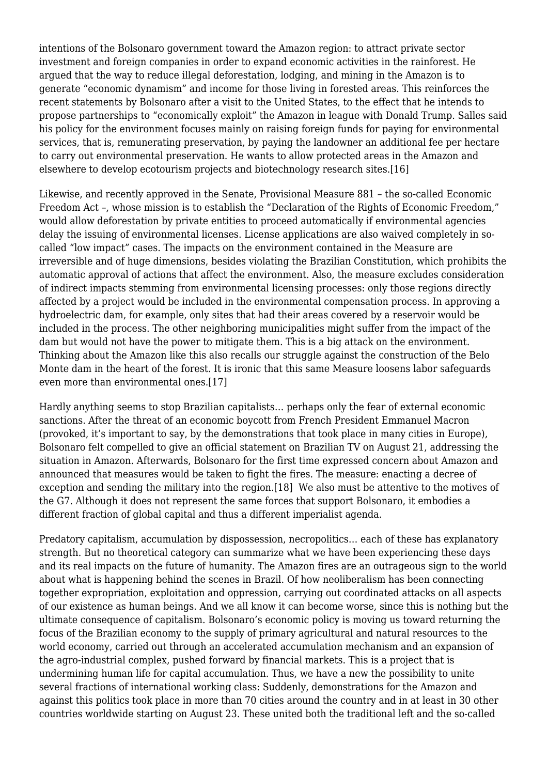intentions of the Bolsonaro government toward the Amazon region: to attract private sector investment and foreign companies in order to expand economic activities in the rainforest. He argued that the way to reduce illegal deforestation, lodging, and mining in the Amazon is to generate "economic dynamism" and income for those living in forested areas. This reinforces the recent statements by Bolsonaro after a visit to the United States, to the effect that he intends to propose partnerships to "economically exploit" the Amazon in league with Donald Trump. Salles said his policy for the environment focuses mainly on raising foreign funds for paying for environmental services, that is, remunerating preservation, by paying the landowner an additional fee per hectare to carry out environmental preservation. He wants to allow protected areas in the Amazon and elsewhere to develop ecotourism projects and biotechnology research sites[.\[16\]](#page-5-6)

<span id="page-3-0"></span>Likewise, and recently approved in the Senate, Provisional Measure 881 – the so-called Economic Freedom Act –, whose mission is to establish the "Declaration of the Rights of Economic Freedom," would allow deforestation by private entities to proceed automatically if environmental agencies delay the issuing of environmental licenses. License applications are also waived completely in socalled "low impact" cases. The impacts on the environment contained in the Measure are irreversible and of huge dimensions, besides violating the Brazilian Constitution, which prohibits the automatic approval of actions that affect the environment. Also, the measure excludes consideration of indirect impacts stemming from environmental licensing processes: only those regions directly affected by a project would be included in the environmental compensation process. In approving a hydroelectric dam, for example, only sites that had their areas covered by a reservoir would be included in the process. The other neighboring municipalities might suffer from the impact of the dam but would not have the power to mitigate them. This is a big attack on the environment. Thinking about the Amazon like this also recalls our struggle against the construction of the Belo Monte dam in the heart of the forest. It is ironic that this same Measure loosens labor safeguards even more than environmental ones[.\[17\]](#page-5-7)

<span id="page-3-1"></span>Hardly anything seems to stop Brazilian capitalists… perhaps only the fear of external economic sanctions. After the threat of an economic boycott from French President Emmanuel Macron (provoked, it's important to say, by the demonstrations that took place in many cities in Europe), Bolsonaro felt compelled to give an official statement on Brazilian TV on August 21, addressing the situation in Amazon. Afterwards, Bolsonaro for the first time expressed concern about Amazon and announced that measures would be taken to fight the fires. The measure: enacting a decree of exception and sending the military into the region.[\[18\]](#page-5-8) We also must be attentive to the motives of the G7. Although it does not represent the same forces that support Bolsonaro, it embodies a different fraction of global capital and thus a different imperialist agenda.

<span id="page-3-2"></span>Predatory capitalism, accumulation by dispossession, necropolitics… each of these has explanatory strength. But no theoretical category can summarize what we have been experiencing these days and its real impacts on the future of humanity. The Amazon fires are an outrageous sign to the world about what is happening behind the scenes in Brazil. Of how neoliberalism has been connecting together expropriation, exploitation and oppression, carrying out coordinated attacks on all aspects of our existence as human beings. And we all know it can become worse, since this is nothing but the ultimate consequence of capitalism. Bolsonaro's economic policy is moving us toward returning the focus of the Brazilian economy to the supply of primary agricultural and natural resources to the world economy, carried out through an accelerated accumulation mechanism and an expansion of the agro-industrial complex, pushed forward by financial markets. This is a project that is undermining human life for capital accumulation. Thus, we have a new the possibility to unite several fractions of international working class: Suddenly, demonstrations for the Amazon and against this politics took place in more than 70 cities around the country and in at least in 30 other countries worldwide starting on August 23. These united both the traditional left and the so-called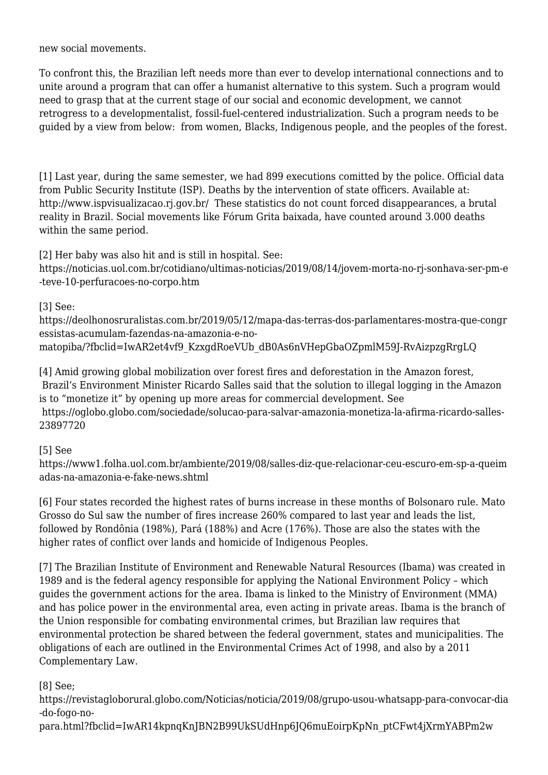new social movements.

To confront this, the Brazilian left needs more than ever to develop international connections and to unite around a program that can offer a humanist alternative to this system. Such a program would need to grasp that at the current stage of our social and economic development, we cannot retrogress to a developmentalist, fossil-fuel-centered industrialization. Such a program needs to be guided by a view from below: from women, Blacks, Indigenous people, and the peoples of the forest.

<span id="page-4-0"></span>[\[1\]](#page-0-0) Last year, during the same semester, we had 899 executions comitted by the police. Official data from Public Security Institute (ISP). Deaths by the intervention of state officers. Available at: <http://www.ispvisualizacao.rj.gov.br/>These statistics do not count forced disappearances, a brutal reality in Brazil. Social movements like Fórum Grita baixada, have counted around 3.000 deaths within the same period.

<span id="page-4-1"></span>[\[2\]](#page-0-1) Her baby was also hit and is still in hospital. See:

[https://noticias.uol.com.br/cotidiano/ultimas-noticias/2019/08/14/jovem-morta-no-rj-sonhava-ser-pm-e](https://noticias.uol.com.br/cotidiano/ultimas-noticias/2019/08/14/jovem-morta-no-rj-sonhava-ser-pm-e-teve-10-perfuracoes-no-corpo.htm) [-teve-10-perfuracoes-no-corpo.htm](https://noticias.uol.com.br/cotidiano/ultimas-noticias/2019/08/14/jovem-morta-no-rj-sonhava-ser-pm-e-teve-10-perfuracoes-no-corpo.htm)

<span id="page-4-2"></span>[\[3\]](#page-1-0) See:

[https://deolhonosruralistas.com.br/2019/05/12/mapa-das-terras-dos-parlamentares-mostra-que-congr](https://deolhonosruralistas.com.br/2019/05/12/mapa-das-terras-dos-parlamentares-mostra-que-congressistas-acumulam-fazendas-na-amazonia-e-no-matopiba/?fbclid=IwAR2et4vf9_KzxgdRoeVUb_dB0As6nVHepGbaOZpmlM59J-RvAizpzgRrgLQ) [essistas-acumulam-fazendas-na-amazonia-e-no](https://deolhonosruralistas.com.br/2019/05/12/mapa-das-terras-dos-parlamentares-mostra-que-congressistas-acumulam-fazendas-na-amazonia-e-no-matopiba/?fbclid=IwAR2et4vf9_KzxgdRoeVUb_dB0As6nVHepGbaOZpmlM59J-RvAizpzgRrgLQ)[matopiba/?fbclid=IwAR2et4vf9\\_KzxgdRoeVUb\\_dB0As6nVHepGbaOZpmlM59J-RvAizpzgRrgLQ](https://deolhonosruralistas.com.br/2019/05/12/mapa-das-terras-dos-parlamentares-mostra-que-congressistas-acumulam-fazendas-na-amazonia-e-no-matopiba/?fbclid=IwAR2et4vf9_KzxgdRoeVUb_dB0As6nVHepGbaOZpmlM59J-RvAizpzgRrgLQ)

<span id="page-4-3"></span>[\[4\]](#page-1-1) Amid growing global mobilization over forest fires and deforestation in the Amazon forest, Brazil's Environment Minister Ricardo Salles said that the solution to illegal logging in the Amazon is to "monetize it" by opening up more areas for commercial development. See [https://oglobo.globo.com/sociedade/solucao-para-salvar-amazonia-monetiza-la-afirma-ricardo-salles-](https://oglobo.globo.com/sociedade/solucao-para-salvar-amazonia-monetiza-la-afirma-ricardo-salles-23897720)[23897720](https://oglobo.globo.com/sociedade/solucao-para-salvar-amazonia-monetiza-la-afirma-ricardo-salles-23897720)

<span id="page-4-4"></span>[\[5\]](#page-1-2) See

[https://www1.folha.uol.com.br/ambiente/2019/08/salles-diz-que-relacionar-ceu-escuro-em-sp-a-queim](https://www1.folha.uol.com.br/ambiente/2019/08/salles-diz-que-relacionar-ceu-escuro-em-sp-a-queimadas-na-amazonia-e-fake-news.shtml) [adas-na-amazonia-e-fake-news.shtml](https://www1.folha.uol.com.br/ambiente/2019/08/salles-diz-que-relacionar-ceu-escuro-em-sp-a-queimadas-na-amazonia-e-fake-news.shtml)

<span id="page-4-5"></span>[\[6\]](#page-1-3) Four states recorded the highest rates of burns increase in these months of Bolsonaro rule. Mato Grosso do Sul saw the number of fires increase 260% compared to last year and leads the list, followed by Rondônia (198%), Pará (188%) and Acre (176%). Those are also the states with the higher rates of conflict over lands and homicide of Indigenous Peoples.

<span id="page-4-6"></span>[\[7\]](#page-1-4) The Brazilian Institute of Environment and Renewable Natural Resources (Ibama) was created in 1989 and is the federal agency responsible for applying the National Environment Policy – which guides the government actions for the area. Ibama is linked to the Ministry of Environment (MMA) and has police power in the environmental area, even acting in private areas. Ibama is the branch of the Union responsible for combating environmental crimes, but Brazilian law requires that environmental protection be shared between the federal government, states and municipalities. The obligations of each are outlined in the Environmental Crimes Act of 1998, and also by a 2011 Complementary Law.

<span id="page-4-7"></span>[\[8\]](#page-1-5) See;

https://revistagloborural.globo.com/Noticias/noticia/2019/08/grupo-usou-whatsapp-para-convocar-dia -do-fogo-no-

<span id="page-4-8"></span>para.html?fbclid=IwAR14kpnqKnJBN2B99UkSUdHnp6JQ6muEoirpKpNn\_ptCFwt4jXrmYABPm2w